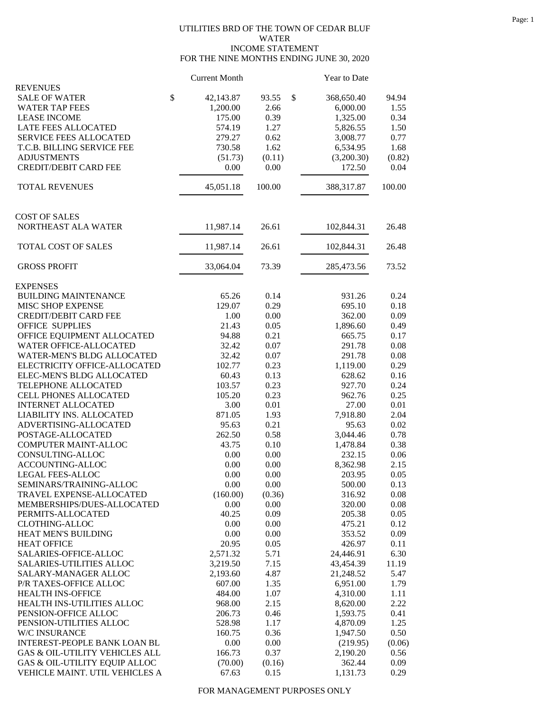## UTILITIES BRD OF THE TOWN OF CEDAR BLUF WATER INCOME STATEMENT FOR THE NINE MONTHS ENDING JUNE 30, 2020

|                                                     | <b>Current Month</b> |             | Year to Date     |              |
|-----------------------------------------------------|----------------------|-------------|------------------|--------------|
| <b>REVENUES</b>                                     |                      |             |                  |              |
| <b>SALE OF WATER</b>                                | \$<br>42,143.87      | \$<br>93.55 | 368,650.40       | 94.94        |
| <b>WATER TAP FEES</b>                               | 1,200.00             | 2.66        | 6,000.00         | 1.55         |
| <b>LEASE INCOME</b>                                 | 175.00               | 0.39        | 1,325.00         | 0.34         |
| LATE FEES ALLOCATED                                 | 574.19               | 1.27        | 5,826.55         | 1.50         |
| SERVICE FEES ALLOCATED                              | 279.27               | 0.62        | 3,008.77         | 0.77         |
| T.C.B. BILLING SERVICE FEE                          | 730.58               | 1.62        | 6,534.95         | 1.68         |
| <b>ADJUSTMENTS</b>                                  | (51.73)              | (0.11)      | (3,200.30)       | (0.82)       |
| <b>CREDIT/DEBIT CARD FEE</b>                        | 0.00                 | 0.00        | 172.50           | 0.04         |
| <b>TOTAL REVENUES</b>                               | 45,051.18            | 100.00      | 388,317.87       | 100.00       |
| <b>COST OF SALES</b>                                |                      |             |                  |              |
| NORTHEAST ALA WATER                                 | 11,987.14            | 26.61       | 102,844.31       | 26.48        |
| TOTAL COST OF SALES                                 | 11,987.14            | 26.61       | 102,844.31       | 26.48        |
| <b>GROSS PROFIT</b>                                 | 33,064.04            | 73.39       | 285,473.56       | 73.52        |
| <b>EXPENSES</b>                                     |                      |             |                  |              |
| <b>BUILDING MAINTENANCE</b>                         | 65.26                | 0.14        | 931.26           | 0.24         |
| MISC SHOP EXPENSE                                   | 129.07               | 0.29        | 695.10           | 0.18         |
| <b>CREDIT/DEBIT CARD FEE</b>                        | 1.00                 | 0.00        | 362.00           | 0.09         |
| <b>OFFICE SUPPLIES</b>                              | 21.43                | 0.05        | 1,896.60         | 0.49         |
| OFFICE EQUIPMENT ALLOCATED                          | 94.88                | 0.21        | 665.75           | 0.17         |
| WATER OFFICE-ALLOCATED                              | 32.42                | 0.07        | 291.78           | 0.08         |
| WATER-MEN'S BLDG ALLOCATED                          | 32.42                | 0.07        | 291.78           | 0.08         |
| ELECTRICITY OFFICE-ALLOCATED                        | 102.77               | 0.23        | 1,119.00         | 0.29         |
| ELEC-MEN'S BLDG ALLOCATED                           | 60.43                | 0.13        | 628.62           | 0.16         |
| TELEPHONE ALLOCATED                                 | 103.57               | 0.23        | 927.70           | 0.24         |
| CELL PHONES ALLOCATED                               | 105.20               | 0.23        | 962.76           | 0.25         |
| <b>INTERNET ALLOCATED</b>                           | 3.00                 | 0.01        | 27.00            | 0.01         |
| LIABILITY INS. ALLOCATED                            | 871.05               | 1.93        | 7,918.80         | 2.04         |
| ADVERTISING-ALLOCATED                               | 95.63                | 0.21        | 95.63            | 0.02         |
| POSTAGE-ALLOCATED                                   | 262.50               | 0.58        | 3,044.46         | 0.78         |
| COMPUTER MAINT-ALLOC                                | 43.75                | 0.10        | 1,478.84         | 0.38         |
| CONSULTING-ALLOC                                    | 0.00                 | 0.00        | 232.15           | 0.06         |
| ACCOUNTING-ALLOC                                    | 0.00                 | 0.00        | 8,362.98         | 2.15         |
| LEGAL FEES-ALLOC                                    | 0.00                 | 0.00        | 203.95           | 0.05         |
|                                                     |                      |             |                  |              |
| SEMINARS/TRAINING-ALLOC<br>TRAVEL EXPENSE-ALLOCATED | 0.00<br>(160.00)     | 0.00        | 500.00<br>316.92 | 0.13<br>0.08 |
|                                                     |                      | (0.36)      |                  |              |
| MEMBERSHIPS/DUES-ALLOCATED                          | 0.00                 | 0.00        | 320.00           | 0.08         |
| PERMITS-ALLOCATED                                   | 40.25                | 0.09        | 205.38           | 0.05         |
| <b>CLOTHING-ALLOC</b>                               | 0.00                 | 0.00        | 475.21           | 0.12         |
| HEAT MEN'S BUILDING                                 | 0.00                 | 0.00        | 353.52           | 0.09         |
| <b>HEAT OFFICE</b>                                  | 20.95                | 0.05        | 426.97           | 0.11         |
| SALARIES-OFFICE-ALLOC                               | 2,571.32             | 5.71        | 24,446.91        | 6.30         |
| SALARIES-UTILITIES ALLOC                            | 3,219.50             | 7.15        | 43,454.39        | 11.19        |
| SALARY-MANAGER ALLOC                                | 2,193.60             | 4.87        | 21,248.52        | 5.47         |
| P/R TAXES-OFFICE ALLOC                              | 607.00               | 1.35        | 6,951.00         | 1.79         |
| HEALTH INS-OFFICE                                   | 484.00               | 1.07        | 4,310.00         | 1.11         |
| HEALTH INS-UTILITIES ALLOC                          | 968.00               | 2.15        | 8,620.00         | 2.22         |
| PENSION-OFFICE ALLOC                                | 206.73               | 0.46        | 1,593.75         | 0.41         |
| PENSION-UTILITIES ALLOC                             | 528.98               | 1.17        | 4,870.09         | 1.25         |
| W/C INSURANCE                                       | 160.75               | 0.36        | 1,947.50         | 0.50         |
| INTEREST-PEOPLE BANK LOAN BL                        | 0.00                 | 0.00        | (219.95)         | (0.06)       |
| GAS & OIL-UTILITY VEHICLES ALL                      | 166.73               | 0.37        | 2,190.20         | 0.56         |
| GAS & OIL-UTILITY EQUIP ALLOC                       | (70.00)              | (0.16)      | 362.44           | 0.09         |
| VEHICLE MAINT. UTIL VEHICLES A                      | 67.63                | 0.15        | 1,131.73         | 0.29         |